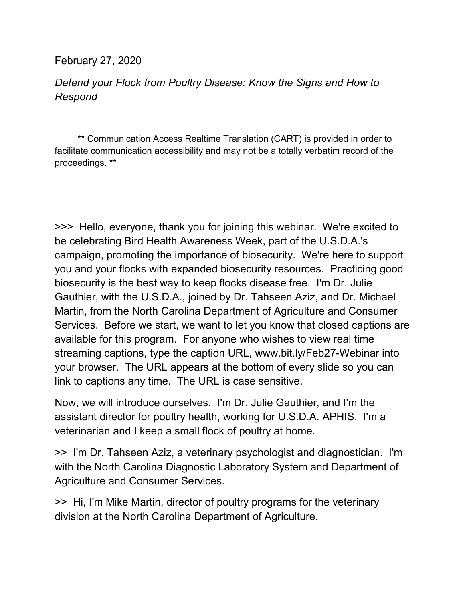February 27, 2020

## *Defend your Flock from Poultry Disease: Know the Signs and How to Respond*

 \*\* Communication Access Realtime Translation (CART) is provided in order to facilitate communication accessibility and may not be a totally verbatim record of the proceedings. \*\*

>>> Hello, everyone, thank you for joining this webinar. We're excited to be celebrating Bird Health Awareness Week, part of the U.S.D.A.'s campaign, promoting the importance of biosecurity. We're here to support you and your flocks with expanded biosecurity resources. Practicing good biosecurity is the best way to keep flocks disease free. I'm Dr. Julie Gauthier, with the U.S.D.A., joined by Dr. Tahseen Aziz, and Dr. Michael Martin, from the North Carolina Department of Agriculture and Consumer Services. Before we start, we want to let you know that closed captions are available for this program. For anyone who wishes to view real time streaming captions, type the caption URL, www.bit.ly/Feb27-Webinar into your browser. The URL appears at the bottom of every slide so you can link to captions any time. The URL is case sensitive.

Now, we will introduce ourselves. I'm Dr. Julie Gauthier, and I'm the assistant director for poultry health, working for U.S.D.A. APHIS. I'm a veterinarian and I keep a small flock of poultry at home.

>> I'm Dr. Tahseen Aziz, a veterinary psychologist and diagnostician. I'm with the North Carolina Diagnostic Laboratory System and Department of Agriculture and Consumer Services.

>> Hi, I'm Mike Martin, director of poultry programs for the veterinary division at the North Carolina Department of Agriculture.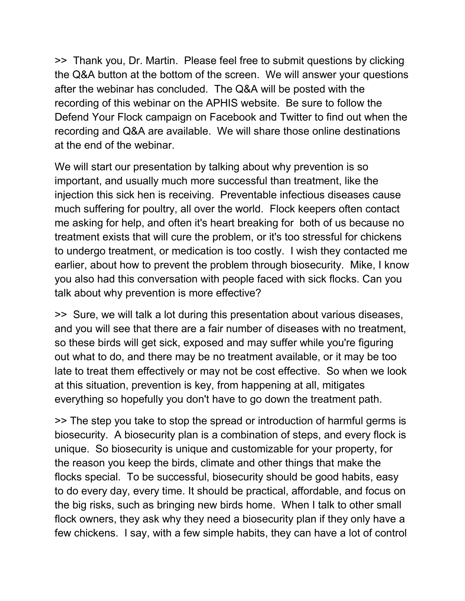>> Thank you, Dr. Martin. Please feel free to submit questions by clicking the Q&A button at the bottom of the screen. We will answer your questions after the webinar has concluded. The Q&A will be posted with the recording of this webinar on the APHIS website. Be sure to follow the Defend Your Flock campaign on Facebook and Twitter to find out when the recording and Q&A are available. We will share those online destinations at the end of the webinar.

We will start our presentation by talking about why prevention is so important, and usually much more successful than treatment, like the injection this sick hen is receiving. Preventable infectious diseases cause much suffering for poultry, all over the world. Flock keepers often contact me asking for help, and often it's heart breaking for both of us because no treatment exists that will cure the problem, or it's too stressful for chickens to undergo treatment, or medication is too costly. I wish they contacted me earlier, about how to prevent the problem through biosecurity. Mike, I know you also had this conversation with people faced with sick flocks. Can you talk about why prevention is more effective?

>> Sure, we will talk a lot during this presentation about various diseases, and you will see that there are a fair number of diseases with no treatment, so these birds will get sick, exposed and may suffer while you're figuring out what to do, and there may be no treatment available, or it may be too late to treat them effectively or may not be cost effective. So when we look at this situation, prevention is key, from happening at all, mitigates everything so hopefully you don't have to go down the treatment path.

>> The step you take to stop the spread or introduction of harmful germs is biosecurity. A biosecurity plan is a combination of steps, and every flock is unique. So biosecurity is unique and customizable for your property, for the reason you keep the birds, climate and other things that make the flocks special. To be successful, biosecurity should be good habits, easy to do every day, every time. It should be practical, affordable, and focus on the big risks, such as bringing new birds home. When I talk to other small flock owners, they ask why they need a biosecurity plan if they only have a few chickens. I say, with a few simple habits, they can have a lot of control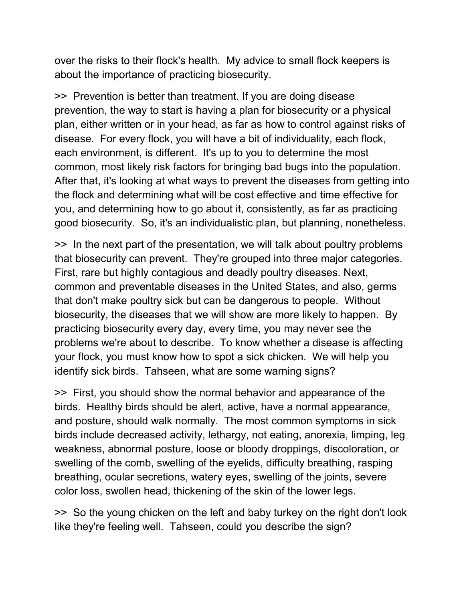over the risks to their flock's health. My advice to small flock keepers is about the importance of practicing biosecurity.

>> Prevention is better than treatment. If you are doing disease prevention, the way to start is having a plan for biosecurity or a physical plan, either written or in your head, as far as how to control against risks of disease. For every flock, you will have a bit of individuality, each flock, each environment, is different. It's up to you to determine the most common, most likely risk factors for bringing bad bugs into the population. After that, it's looking at what ways to prevent the diseases from getting into the flock and determining what will be cost effective and time effective for you, and determining how to go about it, consistently, as far as practicing good biosecurity. So, it's an individualistic plan, but planning, nonetheless.

>> In the next part of the presentation, we will talk about poultry problems that biosecurity can prevent. They're grouped into three major categories. First, rare but highly contagious and deadly poultry diseases. Next, common and preventable diseases in the United States, and also, germs that don't make poultry sick but can be dangerous to people. Without biosecurity, the diseases that we will show are more likely to happen. By practicing biosecurity every day, every time, you may never see the problems we're about to describe. To know whether a disease is affecting your flock, you must know how to spot a sick chicken. We will help you identify sick birds. Tahseen, what are some warning signs?

>> First, you should show the normal behavior and appearance of the birds. Healthy birds should be alert, active, have a normal appearance, and posture, should walk normally. The most common symptoms in sick birds include decreased activity, lethargy, not eating, anorexia, limping, leg weakness, abnormal posture, loose or bloody droppings, discoloration, or swelling of the comb, swelling of the eyelids, difficulty breathing, rasping breathing, ocular secretions, watery eyes, swelling of the joints, severe color loss, swollen head, thickening of the skin of the lower legs.

>> So the young chicken on the left and baby turkey on the right don't look like they're feeling well. Tahseen, could you describe the sign?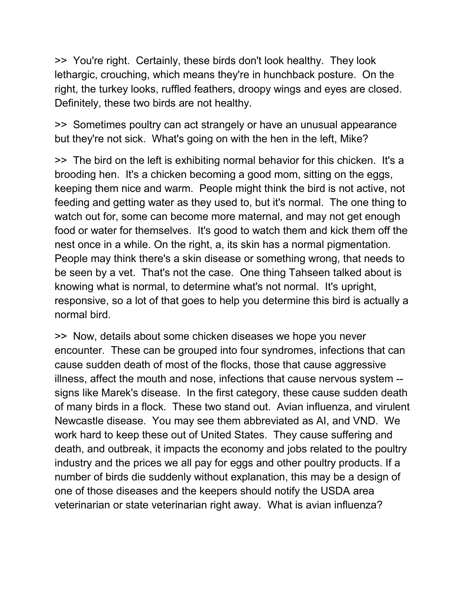>> You're right. Certainly, these birds don't look healthy. They look lethargic, crouching, which means they're in hunchback posture. On the right, the turkey looks, ruffled feathers, droopy wings and eyes are closed. Definitely, these two birds are not healthy.

>> Sometimes poultry can act strangely or have an unusual appearance but they're not sick. What's going on with the hen in the left, Mike?

>> The bird on the left is exhibiting normal behavior for this chicken. It's a brooding hen. It's a chicken becoming a good mom, sitting on the eggs, keeping them nice and warm. People might think the bird is not active, not feeding and getting water as they used to, but it's normal. The one thing to watch out for, some can become more maternal, and may not get enough food or water for themselves. It's good to watch them and kick them off the nest once in a while. On the right, a, its skin has a normal pigmentation. People may think there's a skin disease or something wrong, that needs to be seen by a vet. That's not the case. One thing Tahseen talked about is knowing what is normal, to determine what's not normal. It's upright, responsive, so a lot of that goes to help you determine this bird is actually a normal bird.

>> Now, details about some chicken diseases we hope you never encounter. These can be grouped into four syndromes, infections that can cause sudden death of most of the flocks, those that cause aggressive illness, affect the mouth and nose, infections that cause nervous system - signs like Marek's disease. In the first category, these cause sudden death of many birds in a flock. These two stand out. Avian influenza, and virulent Newcastle disease. You may see them abbreviated as AI, and VND. We work hard to keep these out of United States. They cause suffering and death, and outbreak, it impacts the economy and jobs related to the poultry industry and the prices we all pay for eggs and other poultry products. If a number of birds die suddenly without explanation, this may be a design of one of those diseases and the keepers should notify the USDA area veterinarian or state veterinarian right away. What is avian influenza?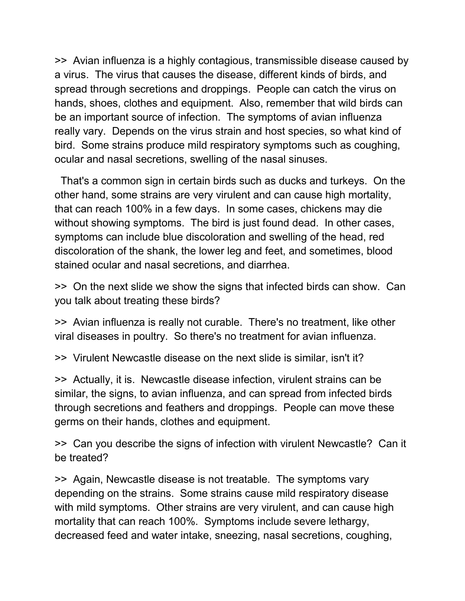>> Avian influenza is a highly contagious, transmissible disease caused by a virus. The virus that causes the disease, different kinds of birds, and spread through secretions and droppings. People can catch the virus on hands, shoes, clothes and equipment. Also, remember that wild birds can be an important source of infection. The symptoms of avian influenza really vary. Depends on the virus strain and host species, so what kind of bird. Some strains produce mild respiratory symptoms such as coughing, ocular and nasal secretions, swelling of the nasal sinuses.

 That's a common sign in certain birds such as ducks and turkeys. On the other hand, some strains are very virulent and can cause high mortality, that can reach 100% in a few days. In some cases, chickens may die without showing symptoms. The bird is just found dead. In other cases, symptoms can include blue discoloration and swelling of the head, red discoloration of the shank, the lower leg and feet, and sometimes, blood stained ocular and nasal secretions, and diarrhea.

>> On the next slide we show the signs that infected birds can show. Can you talk about treating these birds?

>> Avian influenza is really not curable. There's no treatment, like other viral diseases in poultry. So there's no treatment for avian influenza.

>> Virulent Newcastle disease on the next slide is similar, isn't it?

>> Actually, it is. Newcastle disease infection, virulent strains can be similar, the signs, to avian influenza, and can spread from infected birds through secretions and feathers and droppings. People can move these germs on their hands, clothes and equipment.

>> Can you describe the signs of infection with virulent Newcastle? Can it be treated?

>> Again, Newcastle disease is not treatable. The symptoms vary depending on the strains. Some strains cause mild respiratory disease with mild symptoms. Other strains are very virulent, and can cause high mortality that can reach 100%. Symptoms include severe lethargy, decreased feed and water intake, sneezing, nasal secretions, coughing,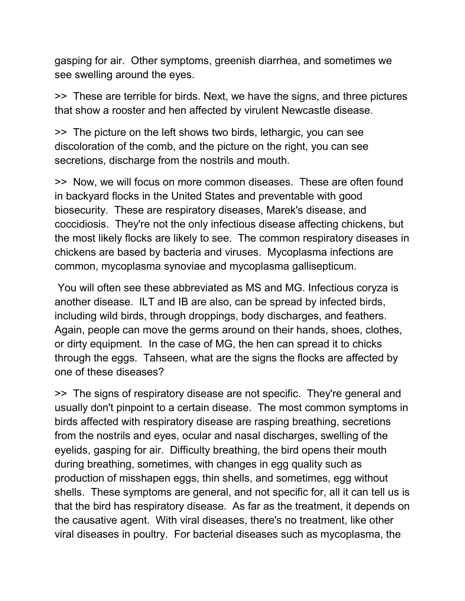gasping for air. Other symptoms, greenish diarrhea, and sometimes we see swelling around the eyes.

>> These are terrible for birds. Next, we have the signs, and three pictures that show a rooster and hen affected by virulent Newcastle disease.

>> The picture on the left shows two birds, lethargic, you can see discoloration of the comb, and the picture on the right, you can see secretions, discharge from the nostrils and mouth.

>> Now, we will focus on more common diseases. These are often found in backyard flocks in the United States and preventable with good biosecurity. These are respiratory diseases, Marek's disease, and coccidiosis. They're not the only infectious disease affecting chickens, but the most likely flocks are likely to see. The common respiratory diseases in chickens are based by bacteria and viruses. Mycoplasma infections are common, mycoplasma synoviae and mycoplasma gallisepticum.

You will often see these abbreviated as MS and MG. Infectious coryza is another disease. ILT and IB are also, can be spread by infected birds, including wild birds, through droppings, body discharges, and feathers. Again, people can move the germs around on their hands, shoes, clothes, or dirty equipment. In the case of MG, the hen can spread it to chicks through the eggs. Tahseen, what are the signs the flocks are affected by one of these diseases?

>> The signs of respiratory disease are not specific. They're general and usually don't pinpoint to a certain disease. The most common symptoms in birds affected with respiratory disease are rasping breathing, secretions from the nostrils and eyes, ocular and nasal discharges, swelling of the eyelids, gasping for air. Difficulty breathing, the bird opens their mouth during breathing, sometimes, with changes in egg quality such as production of misshapen eggs, thin shells, and sometimes, egg without shells. These symptoms are general, and not specific for, all it can tell us is that the bird has respiratory disease. As far as the treatment, it depends on the causative agent. With viral diseases, there's no treatment, like other viral diseases in poultry. For bacterial diseases such as mycoplasma, the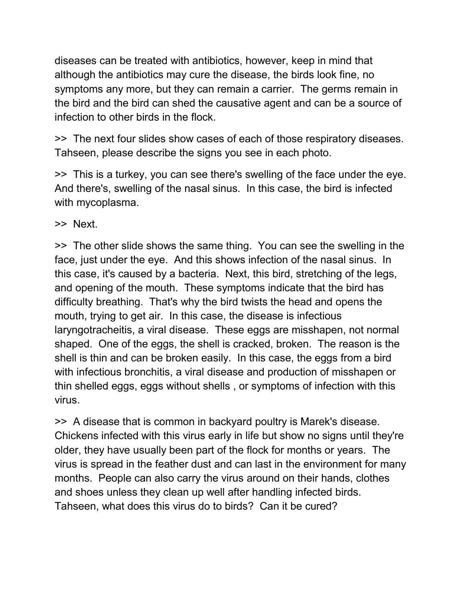diseases can be treated with antibiotics, however, keep in mind that although the antibiotics may cure the disease, the birds look fine, no symptoms any more, but they can remain a carrier. The germs remain in the bird and the bird can shed the causative agent and can be a source of infection to other birds in the flock.

>> The next four slides show cases of each of those respiratory diseases. Tahseen, please describe the signs you see in each photo.

>> This is a turkey, you can see there's swelling of the face under the eye. And there's, swelling of the nasal sinus. In this case, the bird is infected with mycoplasma.

>> Next.

>> The other slide shows the same thing. You can see the swelling in the face, just under the eye. And this shows infection of the nasal sinus. In this case, it's caused by a bacteria. Next, this bird, stretching of the legs, and opening of the mouth. These symptoms indicate that the bird has difficulty breathing. That's why the bird twists the head and opens the mouth, trying to get air. In this case, the disease is infectious laryngotracheitis, a viral disease. These eggs are misshapen, not normal shaped. One of the eggs, the shell is cracked, broken. The reason is the shell is thin and can be broken easily. In this case, the eggs from a bird with infectious bronchitis, a viral disease and production of misshapen or thin shelled eggs, eggs without shells , or symptoms of infection with this virus.

>> A disease that is common in backyard poultry is Marek's disease. Chickens infected with this virus early in life but show no signs until they're older, they have usually been part of the flock for months or years. The virus is spread in the feather dust and can last in the environment for many months. People can also carry the virus around on their hands, clothes and shoes unless they clean up well after handling infected birds. Tahseen, what does this virus do to birds? Can it be cured?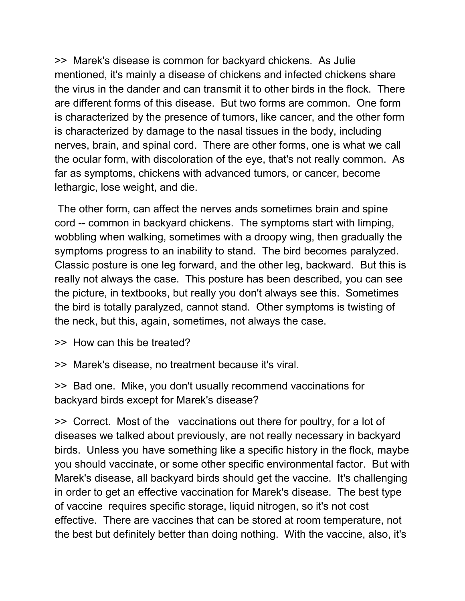>> Marek's disease is common for backyard chickens. As Julie mentioned, it's mainly a disease of chickens and infected chickens share the virus in the dander and can transmit it to other birds in the flock. There are different forms of this disease. But two forms are common. One form is characterized by the presence of tumors, like cancer, and the other form is characterized by damage to the nasal tissues in the body, including nerves, brain, and spinal cord. There are other forms, one is what we call the ocular form, with discoloration of the eye, that's not really common. As far as symptoms, chickens with advanced tumors, or cancer, become lethargic, lose weight, and die.

The other form, can affect the nerves ands sometimes brain and spine cord -- common in backyard chickens. The symptoms start with limping, wobbling when walking, sometimes with a droopy wing, then gradually the symptoms progress to an inability to stand. The bird becomes paralyzed. Classic posture is one leg forward, and the other leg, backward. But this is really not always the case. This posture has been described, you can see the picture, in textbooks, but really you don't always see this. Sometimes the bird is totally paralyzed, cannot stand. Other symptoms is twisting of the neck, but this, again, sometimes, not always the case.

- >> How can this be treated?
- >> Marek's disease, no treatment because it's viral.

>> Bad one. Mike, you don't usually recommend vaccinations for backyard birds except for Marek's disease?

>> Correct. Most of the vaccinations out there for poultry, for a lot of diseases we talked about previously, are not really necessary in backyard birds. Unless you have something like a specific history in the flock, maybe you should vaccinate, or some other specific environmental factor. But with Marek's disease, all backyard birds should get the vaccine. It's challenging in order to get an effective vaccination for Marek's disease. The best type of vaccine requires specific storage, liquid nitrogen, so it's not cost effective. There are vaccines that can be stored at room temperature, not the best but definitely better than doing nothing. With the vaccine, also, it's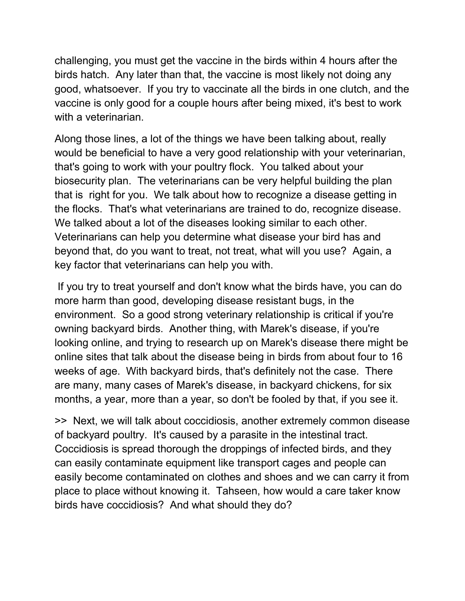challenging, you must get the vaccine in the birds within 4 hours after the birds hatch. Any later than that, the vaccine is most likely not doing any good, whatsoever. If you try to vaccinate all the birds in one clutch, and the vaccine is only good for a couple hours after being mixed, it's best to work with a veterinarian.

Along those lines, a lot of the things we have been talking about, really would be beneficial to have a very good relationship with your veterinarian, that's going to work with your poultry flock. You talked about your biosecurity plan. The veterinarians can be very helpful building the plan that is right for you. We talk about how to recognize a disease getting in the flocks. That's what veterinarians are trained to do, recognize disease. We talked about a lot of the diseases looking similar to each other. Veterinarians can help you determine what disease your bird has and beyond that, do you want to treat, not treat, what will you use? Again, a key factor that veterinarians can help you with.

If you try to treat yourself and don't know what the birds have, you can do more harm than good, developing disease resistant bugs, in the environment. So a good strong veterinary relationship is critical if you're owning backyard birds. Another thing, with Marek's disease, if you're looking online, and trying to research up on Marek's disease there might be online sites that talk about the disease being in birds from about four to 16 weeks of age. With backyard birds, that's definitely not the case. There are many, many cases of Marek's disease, in backyard chickens, for six months, a year, more than a year, so don't be fooled by that, if you see it.

>> Next, we will talk about coccidiosis, another extremely common disease of backyard poultry. It's caused by a parasite in the intestinal tract. Coccidiosis is spread thorough the droppings of infected birds, and they can easily contaminate equipment like transport cages and people can easily become contaminated on clothes and shoes and we can carry it from place to place without knowing it. Tahseen, how would a care taker know birds have coccidiosis? And what should they do?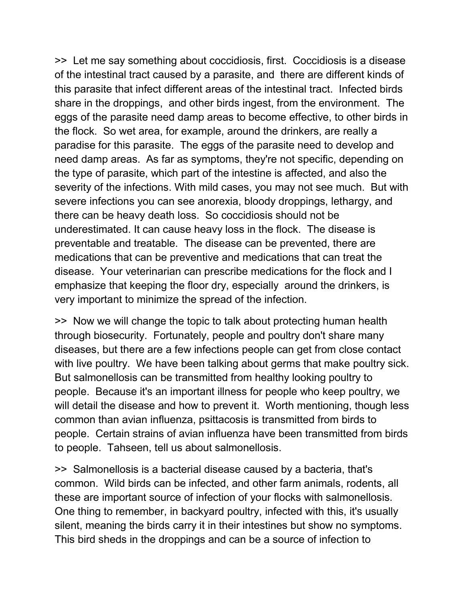>> Let me say something about coccidiosis, first. Coccidiosis is a disease of the intestinal tract caused by a parasite, and there are different kinds of this parasite that infect different areas of the intestinal tract. Infected birds share in the droppings, and other birds ingest, from the environment. The eggs of the parasite need damp areas to become effective, to other birds in the flock. So wet area, for example, around the drinkers, are really a paradise for this parasite. The eggs of the parasite need to develop and need damp areas. As far as symptoms, they're not specific, depending on the type of parasite, which part of the intestine is affected, and also the severity of the infections. With mild cases, you may not see much. But with severe infections you can see anorexia, bloody droppings, lethargy, and there can be heavy death loss. So coccidiosis should not be underestimated. It can cause heavy loss in the flock. The disease is preventable and treatable. The disease can be prevented, there are medications that can be preventive and medications that can treat the disease. Your veterinarian can prescribe medications for the flock and I emphasize that keeping the floor dry, especially around the drinkers, is very important to minimize the spread of the infection.

>> Now we will change the topic to talk about protecting human health through biosecurity. Fortunately, people and poultry don't share many diseases, but there are a few infections people can get from close contact with live poultry. We have been talking about germs that make poultry sick. But salmonellosis can be transmitted from healthy looking poultry to people. Because it's an important illness for people who keep poultry, we will detail the disease and how to prevent it. Worth mentioning, though less common than avian influenza, psittacosis is transmitted from birds to people. Certain strains of avian influenza have been transmitted from birds to people. Tahseen, tell us about salmonellosis.

>> Salmonellosis is a bacterial disease caused by a bacteria, that's common. Wild birds can be infected, and other farm animals, rodents, all these are important source of infection of your flocks with salmonellosis. One thing to remember, in backyard poultry, infected with this, it's usually silent, meaning the birds carry it in their intestines but show no symptoms. This bird sheds in the droppings and can be a source of infection to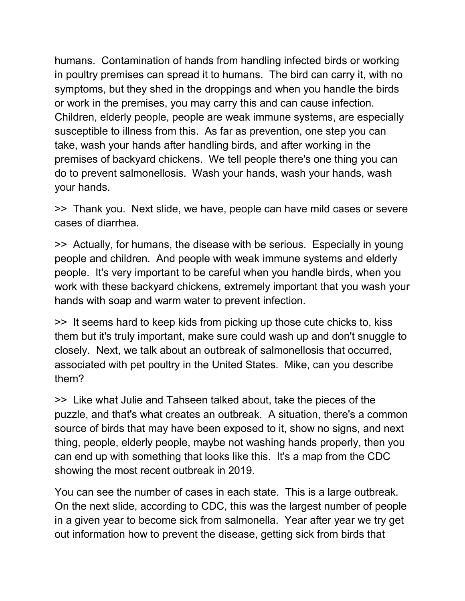humans. Contamination of hands from handling infected birds or working in poultry premises can spread it to humans. The bird can carry it, with no symptoms, but they shed in the droppings and when you handle the birds or work in the premises, you may carry this and can cause infection. Children, elderly people, people are weak immune systems, are especially susceptible to illness from this. As far as prevention, one step you can take, wash your hands after handling birds, and after working in the premises of backyard chickens. We tell people there's one thing you can do to prevent salmonellosis. Wash your hands, wash your hands, wash your hands.

>> Thank you. Next slide, we have, people can have mild cases or severe cases of diarrhea.

>> Actually, for humans, the disease with be serious. Especially in young people and children. And people with weak immune systems and elderly people. It's very important to be careful when you handle birds, when you work with these backyard chickens, extremely important that you wash your hands with soap and warm water to prevent infection.

>> It seems hard to keep kids from picking up those cute chicks to, kiss them but it's truly important, make sure could wash up and don't snuggle to closely. Next, we talk about an outbreak of salmonellosis that occurred, associated with pet poultry in the United States. Mike, can you describe them?

>> Like what Julie and Tahseen talked about, take the pieces of the puzzle, and that's what creates an outbreak. A situation, there's a common source of birds that may have been exposed to it, show no signs, and next thing, people, elderly people, maybe not washing hands properly, then you can end up with something that looks like this. It's a map from the CDC showing the most recent outbreak in 2019.

You can see the number of cases in each state. This is a large outbreak. On the next slide, according to CDC, this was the largest number of people in a given year to become sick from salmonella. Year after year we try get out information how to prevent the disease, getting sick from birds that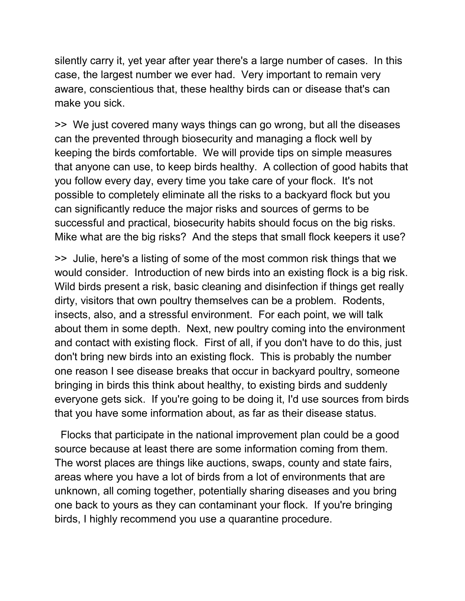silently carry it, yet year after year there's a large number of cases. In this case, the largest number we ever had. Very important to remain very aware, conscientious that, these healthy birds can or disease that's can make you sick.

>> We just covered many ways things can go wrong, but all the diseases can the prevented through biosecurity and managing a flock well by keeping the birds comfortable. We will provide tips on simple measures that anyone can use, to keep birds healthy. A collection of good habits that you follow every day, every time you take care of your flock. It's not possible to completely eliminate all the risks to a backyard flock but you can significantly reduce the major risks and sources of germs to be successful and practical, biosecurity habits should focus on the big risks. Mike what are the big risks? And the steps that small flock keepers it use?

>> Julie, here's a listing of some of the most common risk things that we would consider. Introduction of new birds into an existing flock is a big risk. Wild birds present a risk, basic cleaning and disinfection if things get really dirty, visitors that own poultry themselves can be a problem. Rodents, insects, also, and a stressful environment. For each point, we will talk about them in some depth. Next, new poultry coming into the environment and contact with existing flock. First of all, if you don't have to do this, just don't bring new birds into an existing flock. This is probably the number one reason I see disease breaks that occur in backyard poultry, someone bringing in birds this think about healthy, to existing birds and suddenly everyone gets sick. If you're going to be doing it, I'd use sources from birds that you have some information about, as far as their disease status.

 Flocks that participate in the national improvement plan could be a good source because at least there are some information coming from them. The worst places are things like auctions, swaps, county and state fairs, areas where you have a lot of birds from a lot of environments that are unknown, all coming together, potentially sharing diseases and you bring one back to yours as they can contaminant your flock. If you're bringing birds, I highly recommend you use a quarantine procedure.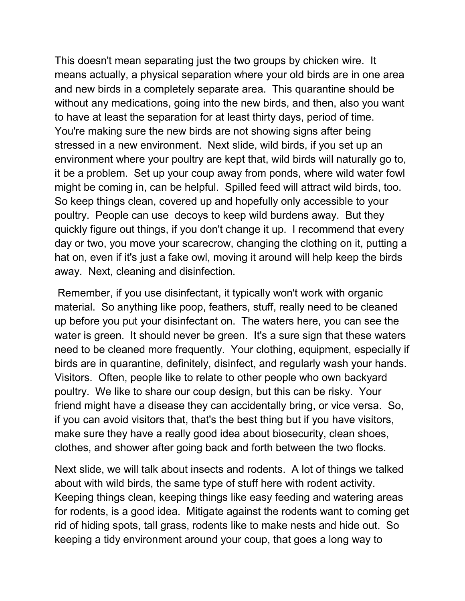This doesn't mean separating just the two groups by chicken wire. It means actually, a physical separation where your old birds are in one area and new birds in a completely separate area. This quarantine should be without any medications, going into the new birds, and then, also you want to have at least the separation for at least thirty days, period of time. You're making sure the new birds are not showing signs after being stressed in a new environment. Next slide, wild birds, if you set up an environment where your poultry are kept that, wild birds will naturally go to, it be a problem. Set up your coup away from ponds, where wild water fowl might be coming in, can be helpful. Spilled feed will attract wild birds, too. So keep things clean, covered up and hopefully only accessible to your poultry. People can use decoys to keep wild burdens away. But they quickly figure out things, if you don't change it up. I recommend that every day or two, you move your scarecrow, changing the clothing on it, putting a hat on, even if it's just a fake owl, moving it around will help keep the birds away. Next, cleaning and disinfection.

Remember, if you use disinfectant, it typically won't work with organic material. So anything like poop, feathers, stuff, really need to be cleaned up before you put your disinfectant on. The waters here, you can see the water is green. It should never be green. It's a sure sign that these waters need to be cleaned more frequently. Your clothing, equipment, especially if birds are in quarantine, definitely, disinfect, and regularly wash your hands. Visitors. Often, people like to relate to other people who own backyard poultry. We like to share our coup design, but this can be risky. Your friend might have a disease they can accidentally bring, or vice versa. So, if you can avoid visitors that, that's the best thing but if you have visitors, make sure they have a really good idea about biosecurity, clean shoes, clothes, and shower after going back and forth between the two flocks.

Next slide, we will talk about insects and rodents. A lot of things we talked about with wild birds, the same type of stuff here with rodent activity. Keeping things clean, keeping things like easy feeding and watering areas for rodents, is a good idea. Mitigate against the rodents want to coming get rid of hiding spots, tall grass, rodents like to make nests and hide out. So keeping a tidy environment around your coup, that goes a long way to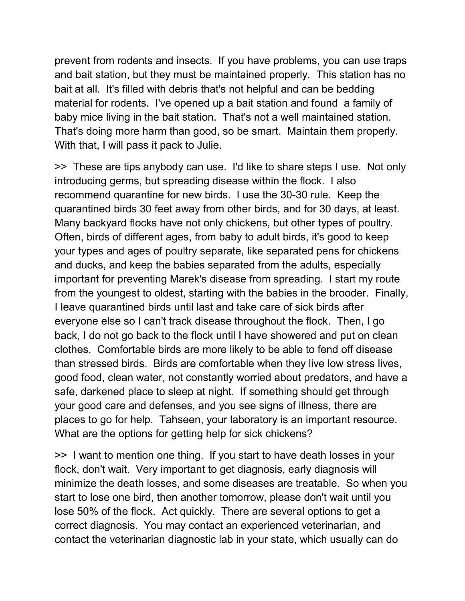prevent from rodents and insects. If you have problems, you can use traps and bait station, but they must be maintained properly. This station has no bait at all. It's filled with debris that's not helpful and can be bedding material for rodents. I've opened up a bait station and found a family of baby mice living in the bait station. That's not a well maintained station. That's doing more harm than good, so be smart. Maintain them properly. With that, I will pass it pack to Julie.

>> These are tips anybody can use. I'd like to share steps I use. Not only introducing germs, but spreading disease within the flock. I also recommend quarantine for new birds. I use the 30-30 rule. Keep the quarantined birds 30 feet away from other birds, and for 30 days, at least. Many backyard flocks have not only chickens, but other types of poultry. Often, birds of different ages, from baby to adult birds, it's good to keep your types and ages of poultry separate, like separated pens for chickens and ducks, and keep the babies separated from the adults, especially important for preventing Marek's disease from spreading. I start my route from the youngest to oldest, starting with the babies in the brooder. Finally, I leave quarantined birds until last and take care of sick birds after everyone else so I can't track disease throughout the flock. Then, I go back, I do not go back to the flock until I have showered and put on clean clothes. Comfortable birds are more likely to be able to fend off disease than stressed birds. Birds are comfortable when they live low stress lives, good food, clean water, not constantly worried about predators, and have a safe, darkened place to sleep at night. If something should get through your good care and defenses, and you see signs of illness, there are places to go for help. Tahseen, your laboratory is an important resource. What are the options for getting help for sick chickens?

>> I want to mention one thing. If you start to have death losses in your flock, don't wait. Very important to get diagnosis, early diagnosis will minimize the death losses, and some diseases are treatable. So when you start to lose one bird, then another tomorrow, please don't wait until you lose 50% of the flock. Act quickly. There are several options to get a correct diagnosis. You may contact an experienced veterinarian, and contact the veterinarian diagnostic lab in your state, which usually can do